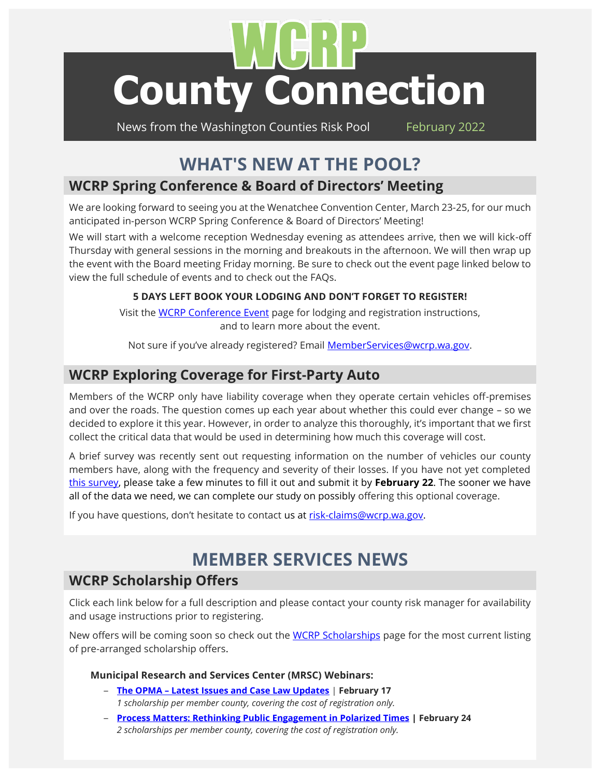# 1ř **[County Connection](http://www.wcrp.info/countyconnection.asp)**

News from the Washington Counties Risk Pool February 2022

# **WHAT'S NEW AT THE POOL?**

# **WCRP Spring Conference & Board of Directors' Meeting**

We are looking forward to seeing you at the Wenatchee Convention Center, March 23-25, for our much anticipated in-person WCRP Spring Conference & Board of Directors' Meeting!

We will start with a welcome reception Wednesday evening as attendees arrive, then we will kick-off Thursday with general sessions in the morning and breakouts in the afternoon. We will then wrap up the event with the Board meeting Friday morning. Be sure to check out the event page linked below to view the full schedule of events and to check out the FAQs.

#### **5 DAYS LEFT BOOK YOUR LODGING AND DON'T FORGET TO REGISTER!**

Visit the [WCRP Conference Event](http://www.wcrp.info/conference-detail.asp?ConfID=16) page for lodging and registration instructions, and to learn more about the event.

Not sure if you've already registered? Email [MemberServices@wcrp.wa.gov.](mailto:MemberServices@wcrp.wa.gov)

## **WCRP Exploring Coverage for First-Party Auto**

Members of the WCRP only have liability coverage when they operate certain vehicles off-premises and over the roads. The question comes up each year about whether this could ever change – so we decided to explore it this year. However, in order to analyze this thoroughly, it's important that we first collect the critical data that would be used in determining how much this coverage will cost.

A brief survey was recently sent out requesting information on the number of vehicles our county members have, along with the frequency and severity of their losses. If you have not yet completed [this survey,](https://www.surveymonkey.com/r/WCRP_AutoPropDamageEvaluation_2022) please take a few minutes to fill it out and submit it by **February 22**. The sooner we have all of the data we need, we can complete our study on possibly offering this optional coverage.

If you have questions, don't hesitate to contact us at [risk-claims@wcrp.wa.gov.](mailto:risk-claims@wcrp.wa.gov)

# **MEMBER SERVICES NEWS**

## **WCRP Scholarship Offers**

Click each link below for a full description and please contact your county risk manager for availability and usage instructions prior to registering.

New offers will be coming soon so check out the [WCRP Scholarships](http://www.wcrp.info/scholarships.asp) page for the most current listing of pre-arranged scholarship offers.

#### **Municipal Research and Services Center (MRSC) Webinars:**

- **The OPMA – [Latest Issues and Case Law Updates](https://mrsc.org/Home/Training/Upcoming-Webinars/The-OPMA-Latest-Issues-and-Case-Law-Updates.aspx)** | **February 17** *1 scholarship per member county, covering the cost of registration only.*
- **[Process Matters: Rethinking Public Engagement in Polarized Times](https://mrsc.org/Home/Training/Upcoming-Webinars/Rethinking-Public-Engagement-in-Polarized-Times.aspx) | February 24** *2 scholarships per member county, covering the cost of registration only.*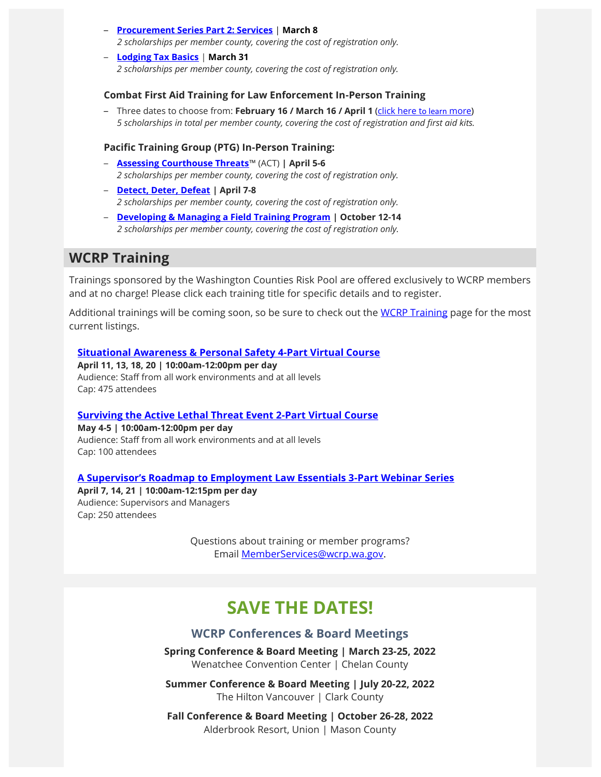- **[Procurement Series Part 2: Services](https://mrsc.org/Home/Training/Upcoming-Webinars/Procurement-Series-Part-2-Services.aspx)** | **March 8** *2 scholarships per member county, covering the cost of registration only.*
- **[Lodging Tax Basics](https://mrsc.org/Home/Training/Upcoming-Webinars/Lodging-Tax-Basics.aspx)** | **March 31** *2 scholarships per member county, covering the cost of registration only.*

#### **Combat First Aid Training for Law Enforcement In-Person Training**

– Three dates to choose from: **February 16 / March 16 / April 1** [\(click here t](http://www.wcrp.info/TRAINING/CFA%20Douglas%20County%202022.pdf)o learn more) *5 scholarships in total per member county, covering the cost of registration and first aid kits.* 

#### **Pacific Training Group (PTG) In-Person Training:**

- **[Assessing Courthouse Threats](http://www.wcrp.info/trainingpdf/ACT%20Ellensburg%20WA%20April%202022.pdf)**™ (ACT) **| April 5-6** *2 scholarships per member county, covering the cost of registration only.*
- **[Detect, Deter, Defeat](http://www.wcrp.info/trainingpdf/DDD%20Ellensburg%20WA%20April%202022.pdf) | April 7-8** *2 scholarships per member county, covering the cost of registration only.*
- **[Developing & Managing a Field Training Program](http://www.wcrp.info/trainingpdf/Developing%20and%20Managing%20a%20Field%20Training%20Program%20Ellensburg%20WA%20October%202022.pdf) | October 12-14** *2 scholarships per member county, covering the cost of registration only.*

## **WCRP Training**

Trainings sponsored by the Washington Counties Risk Pool are offered exclusively to WCRP members and at no charge! Please click each training title for specific details and to register.

Additional trainings will be coming soon, so be sure to check out the [WCRP Training](http://www.wcrp.info/training.asp) page for the most current listings.

#### **[Situational Awareness & Personal Safety 4-Part Virtual Course](http://www.wcrp.info/trainingpdf/Flyer%20Situational%20Awareness%20&%20Personal%20Safety%204-Part%20Series.pdf)**

**April 11, 13, 18, 20 | 10:00am-12:00pm per day**  Audience: Staff from all work environments and at all levels Cap: 475 attendees

#### **[Surviving the Active Lethal Threat Event 2-Part Virtual Course](http://www.wcrp.info/trainingpdf/Flyer%20Surviving%20the%20Active%20Lethal%20Threat%20Event%20(2-Part%20Training).pdf)**

**May 4-5 | 10:00am-12:00pm per day**  Audience: Staff from all work environments and at all levels Cap: 100 attendees

**[A Supervisor's Roadmap to Employment Law Essentials 3](http://www.wcrp.info/trainingpdf/Flyer%20Supervisor%20Roadmap%20to%20Employment%20Law%20Essentials%20Virtual%20Series.pdf)-Part Webinar Series** 

**April 7, 14, 21 | 10:00am-12:15pm per day** Audience: Supervisors and Managers Cap: 250 attendees

> Questions about training or member programs? Email [MemberServices@wcrp.wa.gov.](mailto:MemberServices@wcrp.wa.gov)

# **SAVE THE DATES!**

#### **[WCRP Conferences & Board Meetings](http://www.wcrp.info/conferences.asp)**

**Spring Conference & Board Meeting | March 23-25, 2022** Wenatchee Convention Center | Chelan County

**Summer Conference & Board Meeting | July 20-22, 2022** The Hilton Vancouver | Clark County

**Fall Conference & Board Meeting | October 26-28, 2022** Alderbrook Resort, Union | Mason County